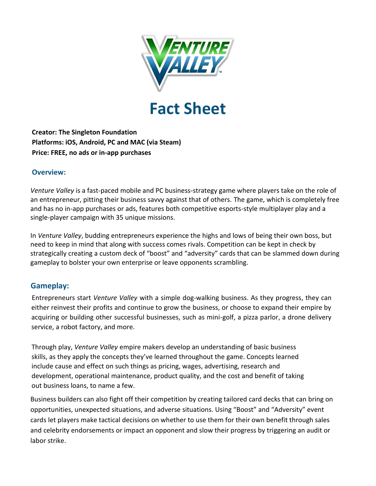

# **Fact Sheet**

**Creator: The Singleton Foundation Platforms: iOS, Android, PC and MAC (via Steam) Price: FREE, no ads or in-app purchases** 

## **Overview:**

*Venture Valley* is a fast-paced mobile and PC business-strategy game where players take on the role of an entrepreneur, pitting their business savvy against that of others. The game, which is completely free and has no in-app purchases or ads, features both competitive esports-style multiplayer play and a single-player campaign with 35 unique missions.

In *Venture Valley*, budding entrepreneurs experience the highs and lows of being their own boss, but need to keep in mind that along with success comes rivals. Competition can be kept in check by strategically creating a custom deck of "boost" and "adversity" cards that can be slammed down during gameplay to bolster your own enterprise or leave opponents scrambling.

## **Gameplay:**

Entrepreneurs start *Venture Valley* with a simple dog-walking business. As they progress, they can either reinvest their profits and continue to grow the business, or choose to expand their empire by acquiring or building other successful businesses, such as mini-golf, a pizza parlor, a drone delivery service, a robot factory, and more.

Through play, *Venture Valley* empire makers develop an understanding of basic business skills, as they apply the concepts they've learned throughout the game. Concepts learned include cause and effect on such things as pricing, wages, advertising, research and development, operational maintenance, product quality, and the cost and benefit of taking out business loans, to name a few.

Business builders can also fight off their competition by creating tailored card decks that can bring on opportunities, unexpected situations, and adverse situations. Using "Boost" and "Adversity" event cards let players make tactical decisions on whether to use them for their own benefit through sales and celebrity endorsements or impact an opponent and slow their progress by triggering an audit or labor strike.